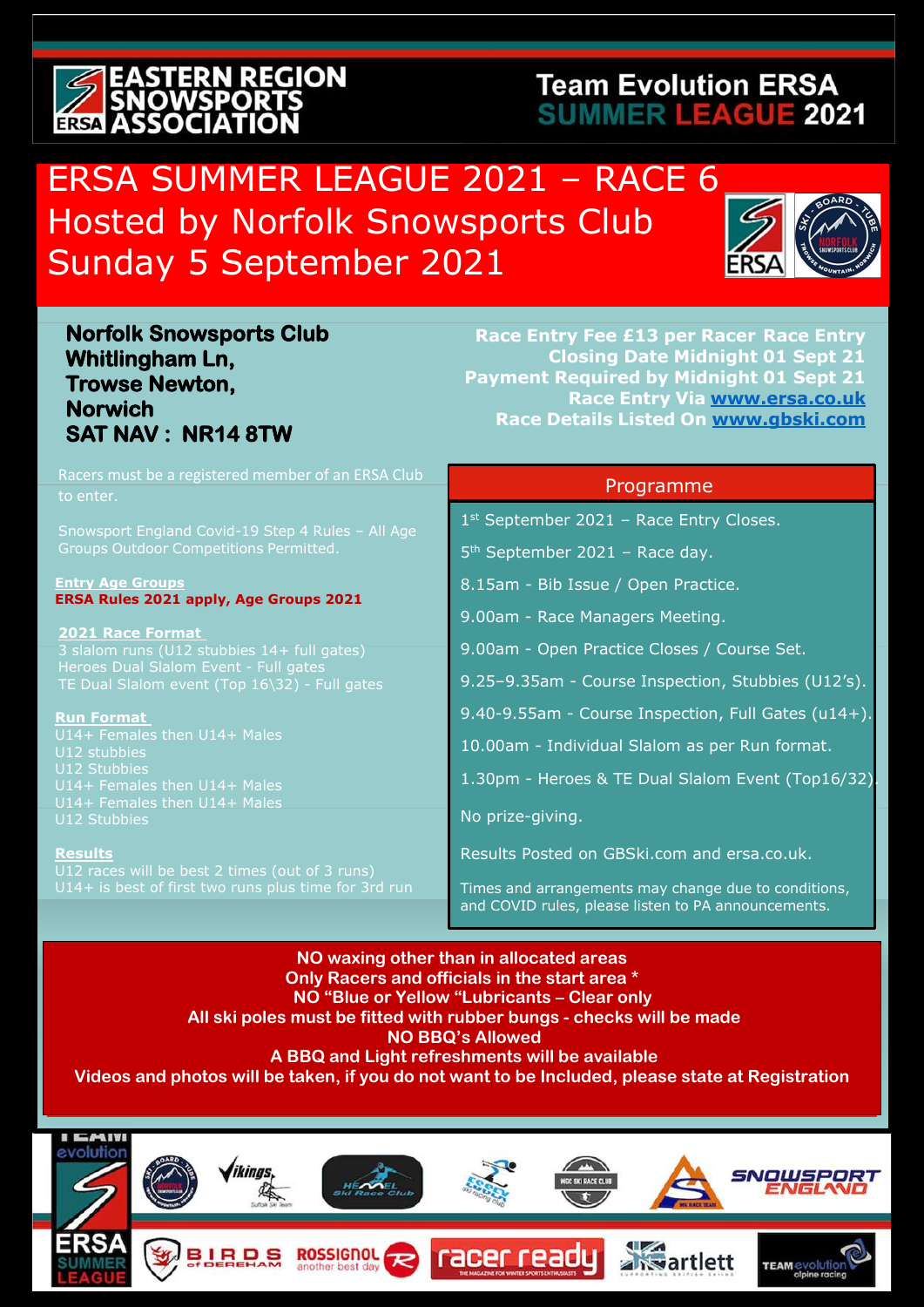# **EASTERN REGION SNOWSPORTS**<br>ERSE ASSOCIATION

### **Team Evolution ERSA SUMMER LEAGUE 2021**

## ERSA SUMMER LEAGUE 2021 - RACE 6 Hosted by Norfolk Snowsports Club Sunday 5 September 2021



#### **Norfolk Snowsports Club Whitlingham Ln, Trowse Newton, Norwich SAT NAV : NR14 8TW**

**Race Entry Fee £13 per Racer Race Entry Closing Date Midnight 01 Sept 21 Payment Required by Midnight 01 Sept 21 Race Entry Via [www.ersa.co.uk](http://www.ersa.co.uk/) Race Details Listed On [www.gbski.com](http://www.gbski.com/)**

| Racers must be a registered member of an ERSA Club                                     | Programme                                            |
|----------------------------------------------------------------------------------------|------------------------------------------------------|
| to enter.                                                                              |                                                      |
| Snowsport England Covid-19 Step 4 Rules - All Age                                      | $1st$ September 2021 - Race Entry Closes.            |
| Groups Outdoor Competitions Permitted.                                                 | $5th$ September 2021 - Race day.                     |
| <b>Entry Age Groups</b>                                                                | 8.15am - Bib Issue / Open Practice.                  |
| ERSA Rules 2021 apply, Age Groups 2021                                                 | 9.00am - Race Managers Meeting.                      |
| <b>2021 Race Format</b><br>3 slalom runs (U12 stubbies 14+ full gates)                 | 9.00am - Open Practice Closes / Course Set.          |
| Heroes Dual Slalom Event - Full gates<br>TE Dual Slalom event (Top 16\32) - Full gates | 9.25-9.35am - Course Inspection, Stubbies (U12's).   |
| <b>Run Format</b>                                                                      | 9.40-9.55am - Course Inspection, Full Gates (u14+).  |
| U14+ Females then U14+ Males<br>U12 stubbies                                           | 10.00am - Individual Slalom as per Run format.       |
| U12 Stubbies<br>U14+ Females then U14+ Males                                           | 1.30pm - Heroes & TE Dual Slalom Event (Top16/32)    |
| U14+ Females then U14+ Males                                                           | No prize-giving.                                     |
| U12 Stubbies                                                                           |                                                      |
| <b>Results</b><br>U12 races will be best 2 times (out of 3 runs)                       | Results Posted on GBSki.com and ersa.co.uk.          |
| U14+ is best of first two runs plus time for 3rd run                                   | Times and arrangements may change due to conditions, |
|                                                                                        | and COVID rules, please listen to PA announcements.  |

**NO waxing other than in allocated areas Only Racers and officials in the start area \* NO "Blue or Yellow "Lubricants – Clear only All ski poles must be fitted with rubber bungs - checks will be made NO BBQ's Allowed A BBQ and Light refreshments will be available Videos and photos will be taken, if you do not want to be Included, please state at Registration**